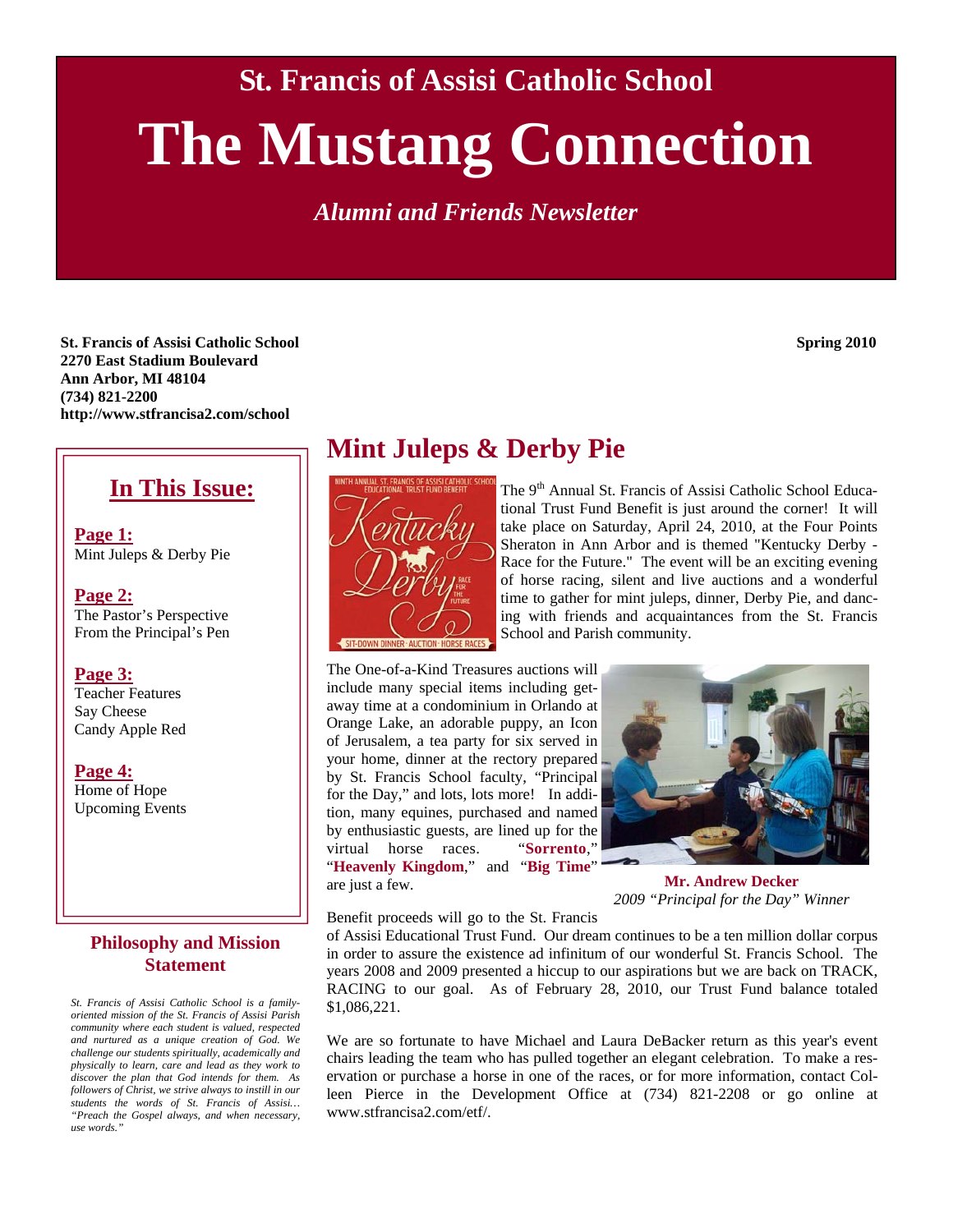**St. Francis of Assisi Catholic School** 

# **The Mustang Connection**

*Alumni and Friends Newsletter* 

**St. Francis of Assisi Catholic School Spring 2010 2270 East Stadium Boulevard Ann Arbor, MI 48104 (734) 821-2200 http://www.stfrancisa2.com/school** 

#### **In This Issue:**

**Page 1:** Mint Juleps & Derby Pie

**Page 2:** The Pastor's Perspective From the Principal's Pen

#### **Page 3:**

Teacher Features Say Cheese Candy Apple Red

**Page 4:**

Home of Hope Upcoming Events

#### **Philosophy and Mission Statement**

*St. Francis of Assisi Catholic School is a familyoriented mission of the St. Francis of Assisi Parish community where each student is valued, respected and nurtured as a unique creation of God. We challenge our students spiritually, academically and physically to learn, care and lead as they work to discover the plan that God intends for them. As followers of Christ, we strive always to instill in our students the words of St. Francis of Assisi… "Preach the Gospel always, and when necessary, use words."* 

#### **Mint Juleps & Derby Pie**



The 9<sup>th</sup> Annual St. Francis of Assisi Catholic School Educational Trust Fund Benefit is just around the corner! It will take place on Saturday, April 24, 2010, at the Four Points Sheraton in Ann Arbor and is themed "Kentucky Derby - Race for the Future." The event will be an exciting evening of horse racing, silent and live auctions and a wonderful time to gather for mint juleps, dinner, Derby Pie, and dancing with friends and acquaintances from the St. Francis School and Parish community.

The One-of-a-Kind Treasures auctions will include many special items including getaway time at a condominium in Orlando at Orange Lake, an adorable puppy, an Icon of Jerusalem, a tea party for six served in your home, dinner at the rectory prepared by St. Francis School faculty, "Principal for the Day," and lots, lots more! In addition, many equines, purchased and named by enthusiastic guests, are lined up for the virtual horse races. "**Sorrento**," "**Heavenly Kingdom**," and "**Big Time**" are just a few.



**Mr. Andrew Decker**  *2009 "Principal for the Day" Winner* 

Benefit proceeds will go to the St. Francis

of Assisi Educational Trust Fund. Our dream continues to be a ten million dollar corpus in order to assure the existence ad infinitum of our wonderful St. Francis School. The years 2008 and 2009 presented a hiccup to our aspirations but we are back on TRACK, RACING to our goal. As of February 28, 2010, our Trust Fund balance totaled \$1,086,221.

We are so fortunate to have Michael and Laura DeBacker return as this year's event chairs leading the team who has pulled together an elegant celebration. To make a reservation or purchase a horse in one of the races, or for more information, contact Colleen Pierce in the Development Office at (734) 821-2208 or go online at www.stfrancisa2.com/etf/.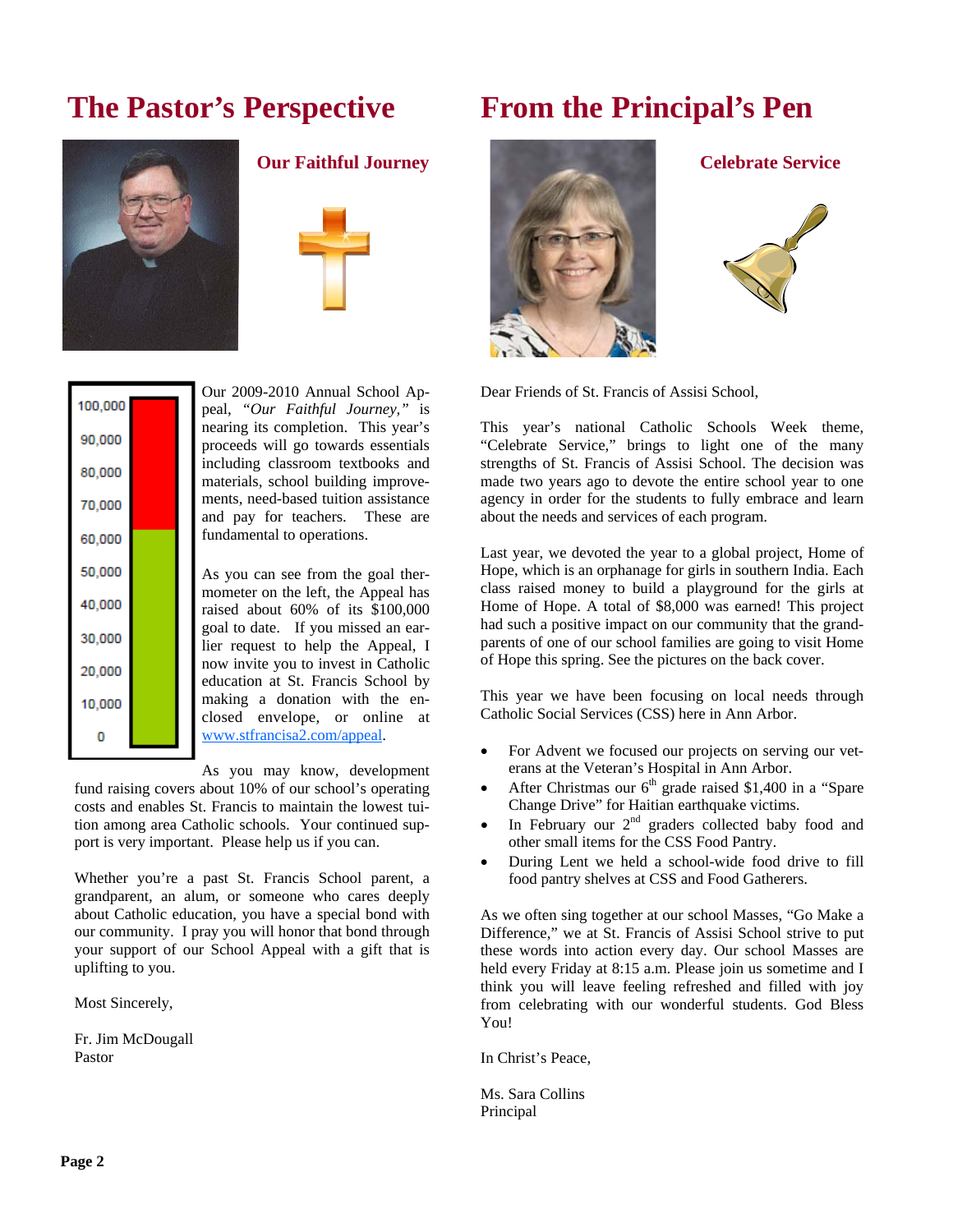# **The Pastor's Perspective**







| 100,000 |  |
|---------|--|
| 90,000  |  |
| 80,000  |  |
| 70,000  |  |
| 60,000  |  |
| 50,000  |  |
| 40,000  |  |
| 30,000  |  |
| 20,000  |  |
| 10,000  |  |
|         |  |
|         |  |

Our 2009-2010 Annual School Appeal, *"Our Faithful Journey,"* is nearing its completion. This year's proceeds will go towards essentials including classroom textbooks and materials, school building improvements, need-based tuition assistance and pay for teachers. These are fundamental to operations.

As you can see from the goal thermometer on the left, the Appeal has raised about 60% of its \$100,000 goal to date. If you missed an earlier request to help the Appeal, I now invite you to invest in Catholic education at St. Francis School by making a donation with the enclosed envelope, or online at www.stfrancisa2.com/appeal.

As you may know, development fund raising covers about 10% of our school's operating costs and enables St. Francis to maintain the lowest tuition among area Catholic schools. Your continued sup-

port is very important. Please help us if you can.

Whether you're a past St. Francis School parent, a grandparent, an alum, or someone who cares deeply about Catholic education, you have a special bond with our community. I pray you will honor that bond through your support of our School Appeal with a gift that is uplifting to you.

Most Sincerely,

Fr. Jim McDougall Pastor

# **From the Principal's Pen**





Dear Friends of St. Francis of Assisi School,

This year's national Catholic Schools Week theme, "Celebrate Service," brings to light one of the many strengths of St. Francis of Assisi School. The decision was made two years ago to devote the entire school year to one agency in order for the students to fully embrace and learn about the needs and services of each program.

Last year, we devoted the year to a global project, Home of Hope, which is an orphanage for girls in southern India. Each class raised money to build a playground for the girls at Home of Hope. A total of \$8,000 was earned! This project had such a positive impact on our community that the grandparents of one of our school families are going to visit Home of Hope this spring. See the pictures on the back cover.

This year we have been focusing on local needs through Catholic Social Services (CSS) here in Ann Arbor.

- For Advent we focused our projects on serving our veterans at the Veteran's Hospital in Ann Arbor.
- After Christmas our  $6<sup>th</sup>$  grade raised \$1,400 in a "Spare Change Drive" for Haitian earthquake victims.
- In February our  $2<sup>nd</sup>$  graders collected baby food and other small items for the CSS Food Pantry.
- During Lent we held a school-wide food drive to fill food pantry shelves at CSS and Food Gatherers.

As we often sing together at our school Masses, "Go Make a Difference," we at St. Francis of Assisi School strive to put these words into action every day. Our school Masses are held every Friday at 8:15 a.m. Please join us sometime and I think you will leave feeling refreshed and filled with joy from celebrating with our wonderful students. God Bless You!

In Christ's Peace,

Ms. Sara Collins Principal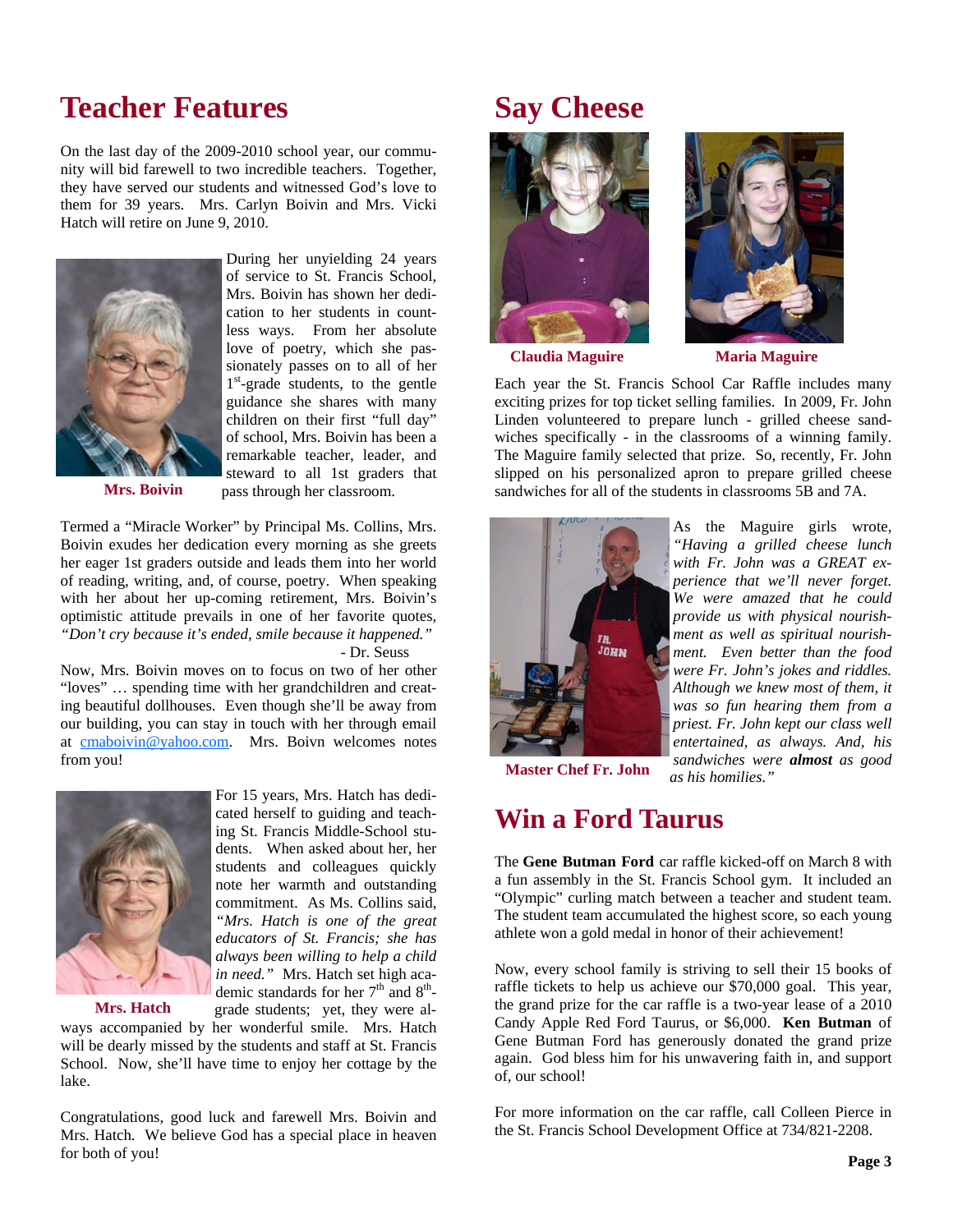### **Teacher Features**

On the last day of the 2009-2010 school year, our community will bid farewell to two incredible teachers. Together, they have served our students and witnessed God's love to them for 39 years. Mrs. Carlyn Boivin and Mrs. Vicki Hatch will retire on June 9, 2010.



of service to St. Francis School, Mrs. Boivin has shown her dedication to her students in countless ways. From her absolute love of poetry, which she passionately passes on to all of her  $1<sup>st</sup>$ -grade students, to the gentle guidance she shares with many children on their first "full day" of school, Mrs. Boivin has been a remarkable teacher, leader, and steward to all 1st graders that pass through her classroom.

During her unyielding 24 years

**Mrs. Boivin** 

Termed a "Miracle Worker" by Principal Ms. Collins, Mrs. Boivin exudes her dedication every morning as she greets her eager 1st graders outside and leads them into her world of reading, writing, and, of course, poetry. When speaking with her about her up-coming retirement, Mrs. Boivin's optimistic attitude prevails in one of her favorite quotes, *"Don't cry because it's ended, smile because it happened."* 

- Dr. Seuss

Now, Mrs. Boivin moves on to focus on two of her other "loves" … spending time with her grandchildren and creating beautiful dollhouses. Even though she'll be away from our building, you can stay in touch with her through email at cmaboivin@yahoo.com. Mrs. Boivn welcomes notes from you!



For 15 years, Mrs. Hatch has dedicated herself to guiding and teaching St. Francis Middle-School students. When asked about her, her students and colleagues quickly note her warmth and outstanding commitment. As Ms. Collins said, *"Mrs. Hatch is one of the great educators of St. Francis; she has always been willing to help a child in need."* Mrs. Hatch set high academic standards for her  $7<sup>th</sup>$  and  $8<sup>th</sup>$ grade students; yet, they were al-

**Mrs. Hatch** 

ways accompanied by her wonderful smile. Mrs. Hatch will be dearly missed by the students and staff at St. Francis School. Now, she'll have time to enjoy her cottage by the lake.

Congratulations, good luck and farewell Mrs. Boivin and Mrs. Hatch. We believe God has a special place in heaven for both of you!

# **Say Cheese**





**Claudia Maguire Maria Maguire** 

Each year the St. Francis School Car Raffle includes many exciting prizes for top ticket selling families. In 2009, Fr. John Linden volunteered to prepare lunch - grilled cheese sandwiches specifically - in the classrooms of a winning family. The Maguire family selected that prize. So, recently, Fr. John slipped on his personalized apron to prepare grilled cheese sandwiches for all of the students in classrooms 5B and 7A.



As the Maguire girls wrote, *"Having a grilled cheese lunch with Fr. John was a GREAT experience that we'll never forget. We were amazed that he could provide us with physical nourishment as well as spiritual nourishment. Even better than the food were Fr. John's jokes and riddles. Although we knew most of them, it was so fun hearing them from a priest. Fr. John kept our class well entertained, as always. And, his sandwiches were almost as good as his homilies."* 

**Master Chef Fr. John** 

#### **Win a Ford Taurus**

The **Gene Butman Ford** car raffle kicked-off on March 8 with a fun assembly in the St. Francis School gym. It included an "Olympic" curling match between a teacher and student team. The student team accumulated the highest score, so each young athlete won a gold medal in honor of their achievement!

Now, every school family is striving to sell their 15 books of raffle tickets to help us achieve our \$70,000 goal. This year, the grand prize for the car raffle is a two-year lease of a 2010 Candy Apple Red Ford Taurus, or \$6,000. **Ken Butman** of Gene Butman Ford has generously donated the grand prize again. God bless him for his unwavering faith in, and support of, our school!

For more information on the car raffle, call Colleen Pierce in the St. Francis School Development Office at 734/821-2208.